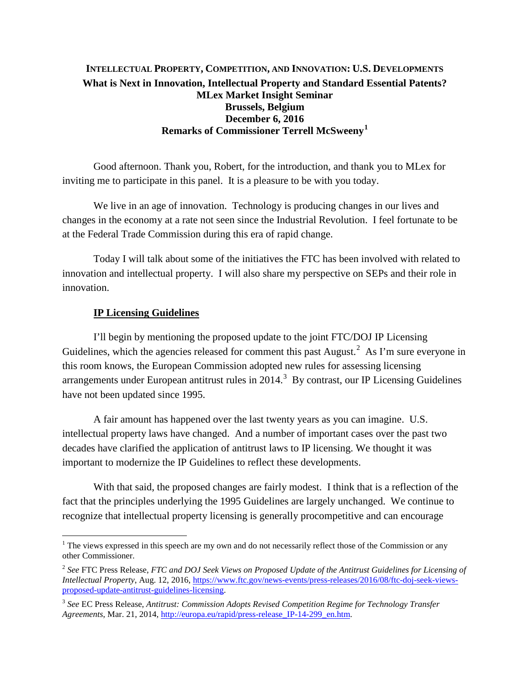## **INTELLECTUAL PROPERTY, COMPETITION, AND INNOVATION: U.S. DEVELOPMENTS What is Next in Innovation, Intellectual Property and Standard Essential Patents? MLex Market Insight Seminar Brussels, Belgium December 6, 2016 Remarks of Commissioner Terrell McSweeny[1](#page-0-0)**

Good afternoon. Thank you, Robert, for the introduction, and thank you to MLex for inviting me to participate in this panel. It is a pleasure to be with you today.

We live in an age of innovation. Technology is producing changes in our lives and changes in the economy at a rate not seen since the Industrial Revolution. I feel fortunate to be at the Federal Trade Commission during this era of rapid change.

Today I will talk about some of the initiatives the FTC has been involved with related to innovation and intellectual property. I will also share my perspective on SEPs and their role in innovation.

## **IP Licensing Guidelines**

 $\overline{a}$ 

I'll begin by mentioning the proposed update to the joint FTC/DOJ IP Licensing Guidelines, which the agencies released for comment this past August. $^2$  $^2$  As I'm sure everyone in this room knows, the European Commission adopted new rules for assessing licensing arrangements under European antitrust rules in  $2014$ .<sup>[3](#page-0-2)</sup> By contrast, our IP Licensing Guidelines have not been updated since 1995.

A fair amount has happened over the last twenty years as you can imagine. U.S. intellectual property laws have changed. And a number of important cases over the past two decades have clarified the application of antitrust laws to IP licensing. We thought it was important to modernize the IP Guidelines to reflect these developments.

With that said, the proposed changes are fairly modest. I think that is a reflection of the fact that the principles underlying the 1995 Guidelines are largely unchanged. We continue to recognize that intellectual property licensing is generally procompetitive and can encourage

<span id="page-0-0"></span><sup>&</sup>lt;sup>1</sup> The views expressed in this speech are my own and do not necessarily reflect those of the Commission or any other Commissioner.

<span id="page-0-1"></span><sup>2</sup> *See* FTC Press Release, *FTC and DOJ Seek Views on Proposed Update of the Antitrust Guidelines for Licensing of Intellectual Property*, Aug. 12, 2016, [https://www.ftc.gov/news-events/press-releases/2016/08/ftc-doj-seek-views](https://www.ftc.gov/news-events/press-releases/2016/08/ftc-doj-seek-views-proposed-update-antitrust-guidelines-licensing)[proposed-update-antitrust-guidelines-licensing.](https://www.ftc.gov/news-events/press-releases/2016/08/ftc-doj-seek-views-proposed-update-antitrust-guidelines-licensing)

<span id="page-0-2"></span><sup>3</sup> *See* EC Press Release, *Antitrust: Commission Adopts Revised Competition Regime for Technology Transfer Agreements*, Mar. 21, 2014, [http://europa.eu/rapid/press-release\\_IP-14-299\\_en.htm.](http://europa.eu/rapid/press-release_IP-14-299_en.htm)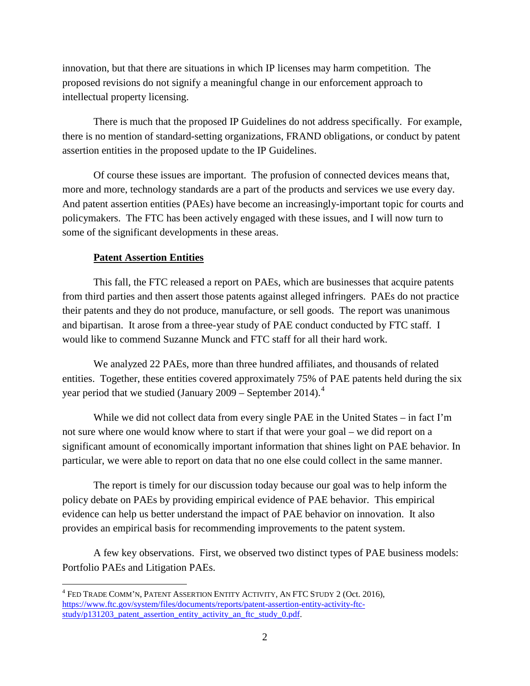innovation, but that there are situations in which IP licenses may harm competition. The proposed revisions do not signify a meaningful change in our enforcement approach to intellectual property licensing.

There is much that the proposed IP Guidelines do not address specifically. For example, there is no mention of standard-setting organizations, FRAND obligations, or conduct by patent assertion entities in the proposed update to the IP Guidelines.

Of course these issues are important. The profusion of connected devices means that, more and more, technology standards are a part of the products and services we use every day. And patent assertion entities (PAEs) have become an increasingly-important topic for courts and policymakers. The FTC has been actively engaged with these issues, and I will now turn to some of the significant developments in these areas.

## **Patent Assertion Entities**

This fall, the FTC released a report on PAEs, which are businesses that acquire patents from third parties and then assert those patents against alleged infringers. PAEs do not practice their patents and they do not produce, manufacture, or sell goods. The report was unanimous and bipartisan. It arose from a three-year study of PAE conduct conducted by FTC staff. I would like to commend Suzanne Munck and FTC staff for all their hard work.

We analyzed 22 PAEs, more than three hundred affiliates, and thousands of related entities. Together, these entities covered approximately 75% of PAE patents held during the six year period that we studied (January  $2009$  – September 201[4](#page-1-0)).<sup>4</sup>

While we did not collect data from every single PAE in the United States – in fact I'm not sure where one would know where to start if that were your goal – we did report on a significant amount of economically important information that shines light on PAE behavior. In particular, we were able to report on data that no one else could collect in the same manner.

The report is timely for our discussion today because our goal was to help inform the policy debate on PAEs by providing empirical evidence of PAE behavior. This empirical evidence can help us better understand the impact of PAE behavior on innovation. It also provides an empirical basis for recommending improvements to the patent system.

A few key observations. First, we observed two distinct types of PAE business models: Portfolio PAEs and Litigation PAEs.

<span id="page-1-0"></span> $\overline{a}$  $^4$  Fed Trade Comm'n, Patent Assertion Entity Activity, An FTC Study 2 (Oct. 2016), https://www.ftc.gov/system/files/documents/reports/patent-assertion-entity-activity-ftcstudy/p131203\_patent\_assertion\_entity\_activity\_an\_ftc\_study\_0.pdf.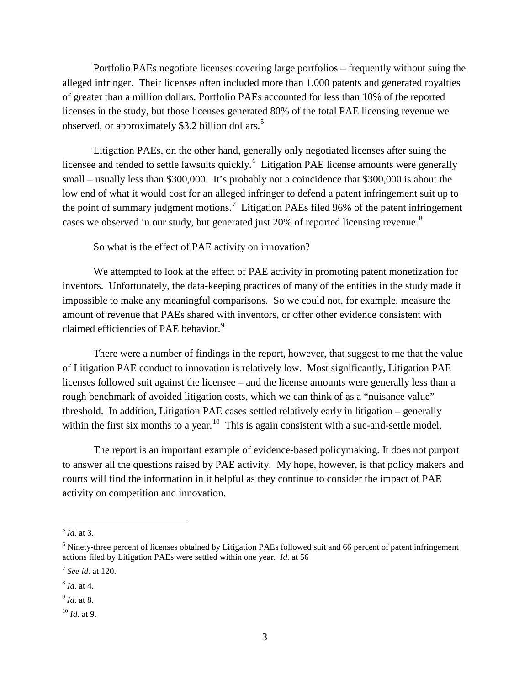Portfolio PAEs negotiate licenses covering large portfolios – frequently without suing the alleged infringer. Their licenses often included more than 1,000 patents and generated royalties of greater than a million dollars. Portfolio PAEs accounted for less than 10% of the reported licenses in the study, but those licenses generated 80% of the total PAE licensing revenue we observed, or approximately \$3.2 billion dollars.<sup>[5](#page-2-0)</sup>

Litigation PAEs, on the other hand, generally only negotiated licenses after suing the licensee and tended to settle lawsuits quickly.<sup>[6](#page-2-1)</sup> Litigation PAE license amounts were generally small – usually less than \$300,000. It's probably not a coincidence that \$300,000 is about the low end of what it would cost for an alleged infringer to defend a patent infringement suit up to the point of summary judgment motions.<sup>[7](#page-2-2)</sup> Litigation PAEs filed 96% of the patent infringement cases we observed in our study, but generated just 20% of reported licensing revenue.<sup>[8](#page-2-3)</sup>

So what is the effect of PAE activity on innovation?

We attempted to look at the effect of PAE activity in promoting patent monetization for inventors. Unfortunately, the data-keeping practices of many of the entities in the study made it impossible to make any meaningful comparisons. So we could not, for example, measure the amount of revenue that PAEs shared with inventors, or offer other evidence consistent with claimed efficiencies of PAE behavior.<sup>[9](#page-2-4)</sup>

There were a number of findings in the report, however, that suggest to me that the value of Litigation PAE conduct to innovation is relatively low. Most significantly, Litigation PAE licenses followed suit against the licensee – and the license amounts were generally less than a rough benchmark of avoided litigation costs, which we can think of as a "nuisance value" threshold. In addition, Litigation PAE cases settled relatively early in litigation – generally within the first six months to a year.<sup>10</sup> This is again consistent with a sue-and-settle model.

The report is an important example of evidence-based policymaking. It does not purport to answer all the questions raised by PAE activity. My hope, however, is that policy makers and courts will find the information in it helpful as they continue to consider the impact of PAE activity on competition and innovation.

 $\overline{a}$ 

<span id="page-2-0"></span><sup>5</sup> *Id.* at 3.

<span id="page-2-1"></span><sup>6</sup> Ninety-three percent of licenses obtained by Litigation PAEs followed suit and 66 percent of patent infringement actions filed by Litigation PAEs were settled within one year. *Id.* at 56

<span id="page-2-2"></span><sup>7</sup> *See id.* at 120.

<span id="page-2-3"></span><sup>8</sup> *Id.* at 4.

<span id="page-2-4"></span><sup>9</sup> *Id*. at 8.

<span id="page-2-5"></span><sup>10</sup> *Id*. at 9.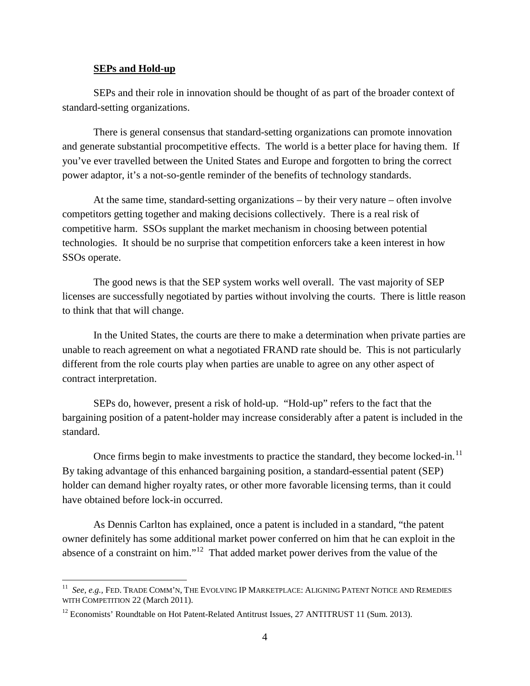## **SEPs and Hold-up**

 $\overline{a}$ 

SEPs and their role in innovation should be thought of as part of the broader context of standard-setting organizations.

There is general consensus that standard-setting organizations can promote innovation and generate substantial procompetitive effects. The world is a better place for having them. If you've ever travelled between the United States and Europe and forgotten to bring the correct power adaptor, it's a not-so-gentle reminder of the benefits of technology standards.

At the same time, standard-setting organizations – by their very nature – often involve competitors getting together and making decisions collectively. There is a real risk of competitive harm. SSOs supplant the market mechanism in choosing between potential technologies. It should be no surprise that competition enforcers take a keen interest in how SSOs operate.

The good news is that the SEP system works well overall. The vast majority of SEP licenses are successfully negotiated by parties without involving the courts. There is little reason to think that that will change.

In the United States, the courts are there to make a determination when private parties are unable to reach agreement on what a negotiated FRAND rate should be. This is not particularly different from the role courts play when parties are unable to agree on any other aspect of contract interpretation.

SEPs do, however, present a risk of hold-up. "Hold-up" refers to the fact that the bargaining position of a patent-holder may increase considerably after a patent is included in the standard.

Once firms begin to make investments to practice the standard, they become locked-in.<sup>[11](#page-3-0)</sup> By taking advantage of this enhanced bargaining position, a standard-essential patent (SEP) holder can demand higher royalty rates, or other more favorable licensing terms, than it could have obtained before lock-in occurred.

As Dennis Carlton has explained, once a patent is included in a standard, "the patent owner definitely has some additional market power conferred on him that he can exploit in the absence of a constraint on him."[12](#page-3-1) That added market power derives from the value of the

<span id="page-3-0"></span><sup>11</sup> *See, e.g.,* FED. TRADE COMM'N, THE EVOLVING IP MARKETPLACE: ALIGNING PATENT NOTICE AND REMEDIES WITH COMPETITION 22 (March 2011).

<span id="page-3-1"></span><sup>&</sup>lt;sup>12</sup> Economists' Roundtable on Hot Patent-Related Antitrust Issues, 27 ANTITRUST 11 (Sum. 2013).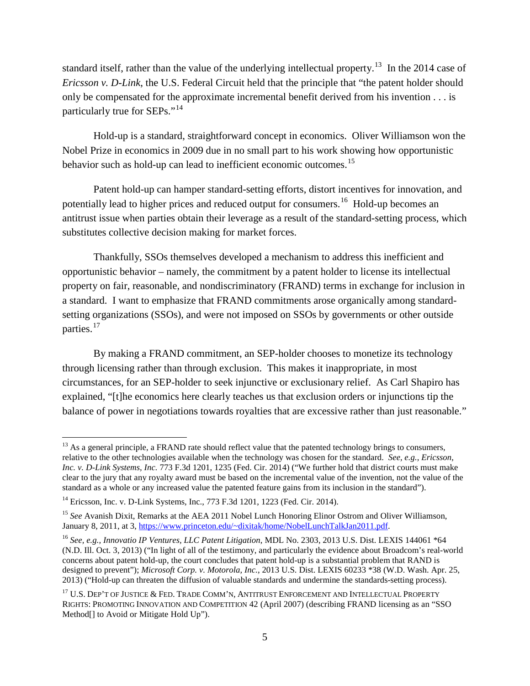standard itself, rather than the value of the underlying intellectual property.<sup>[13](#page-4-0)</sup> In the 2014 case of *Ericsson v. D-Link*, the U.S. Federal Circuit held that the principle that "the patent holder should only be compensated for the approximate incremental benefit derived from his invention . . . is particularly true for SEPs."<sup>[14](#page-4-1)</sup>

Hold-up is a standard, straightforward concept in economics. Oliver Williamson won the Nobel Prize in economics in 2009 due in no small part to his work showing how opportunistic behavior such as hold-up can lead to inefficient economic outcomes.<sup>[15](#page-4-2)</sup>

Patent hold-up can hamper standard-setting efforts, distort incentives for innovation, and potentially lead to higher prices and reduced output for consumers.<sup>16</sup> Hold-up becomes an antitrust issue when parties obtain their leverage as a result of the standard-setting process, which substitutes collective decision making for market forces.

Thankfully, SSOs themselves developed a mechanism to address this inefficient and opportunistic behavior – namely, the commitment by a patent holder to license its intellectual property on fair, reasonable, and nondiscriminatory (FRAND) terms in exchange for inclusion in a standard. I want to emphasize that FRAND commitments arose organically among standardsetting organizations (SSOs), and were not imposed on SSOs by governments or other outside parties.<sup>[17](#page-4-4)</sup>

By making a FRAND commitment, an SEP-holder chooses to monetize its technology through licensing rather than through exclusion. This makes it inappropriate, in most circumstances, for an SEP-holder to seek injunctive or exclusionary relief. As Carl Shapiro has explained, "[t]he economics here clearly teaches us that exclusion orders or injunctions tip the balance of power in negotiations towards royalties that are excessive rather than just reasonable."

<span id="page-4-0"></span> $\overline{a}$ <sup>13</sup> As a general principle, a FRAND rate should reflect value that the patented technology brings to consumers, relative to the other technologies available when the technology was chosen for the standard. *See, e.g., Ericsson, Inc. v. D-Link Systems, Inc.* 773 F.3d 1201, 1235 (Fed. Cir. 2014) ("We further hold that district courts must make clear to the jury that any royalty award must be based on the incremental value of the invention, not the value of the standard as a whole or any increased value the patented feature gains from its inclusion in the standard").

<span id="page-4-1"></span><sup>&</sup>lt;sup>14</sup> Ericsson, Inc. v. D-Link Systems, Inc., 773 F.3d 1201, 1223 (Fed. Cir. 2014).

<span id="page-4-2"></span><sup>&</sup>lt;sup>15</sup> See Avanish Dixit, Remarks at the AEA 2011 Nobel Lunch Honoring Elinor Ostrom and Oliver Williamson, January 8, 2011, at 3, [https://www.princeton.edu/~dixitak/home/NobelLunchTalkJan2011.pdf.](https://www.princeton.edu/%7Edixitak/home/NobelLunchTalkJan2011.pdf)

<span id="page-4-3"></span><sup>16</sup> *See, e.g., Innovatio IP Ventures, LLC Patent Litigation*, MDL No. 2303, 2013 U.S. Dist. LEXIS 144061 \*64 (N.D. Ill. Oct. 3, 2013) ("In light of all of the testimony, and particularly the evidence about Broadcom's real-world concerns about patent hold-up, the court concludes that patent hold-up is a substantial problem that RAND is designed to prevent"); *Microsoft Corp. v. Motorola, Inc.*, 2013 U.S. Dist. LEXIS 60233 \*38 (W.D. Wash. Apr. 25, 2013) ("Hold-up can threaten the diffusion of valuable standards and undermine the standards-setting process).

<span id="page-4-4"></span><sup>17</sup> U.S. DEP'T OF JUSTICE & FED. TRADE COMM'N, ANTITRUST ENFORCEMENT AND INTELLECTUAL PROPERTY RIGHTS: PROMOTING INNOVATION AND COMPETITION 42 (April 2007) (describing FRAND licensing as an "SSO Method[] to Avoid or Mitigate Hold Up").